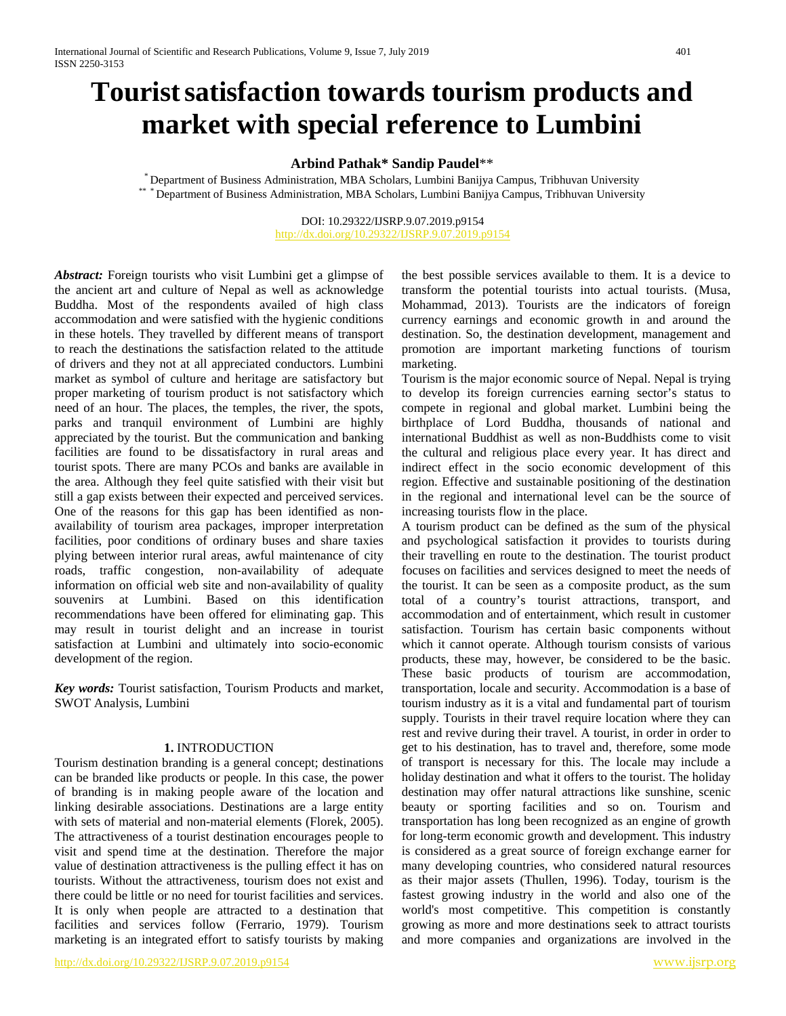# **Touristsatisfaction towards tourism products and market with special reference to Lumbini**

# **Arbind Pathak\* Sandip Paudel**\*\*

\* Department of Business Administration, MBA Scholars, Lumbini Banijya Campus, Tribhuvan University \*\* \* Department of Business Administration, MBA Scholars, Lumbini Banijya Campus, Tribhuvan University

#### DOI: 10.29322/IJSRP.9.07.2019.p9154 <http://dx.doi.org/10.29322/IJSRP.9.07.2019.p9154>

*Abstract:* Foreign tourists who visit Lumbini get a glimpse of the ancient art and culture of Nepal as well as acknowledge Buddha. Most of the respondents availed of high class accommodation and were satisfied with the hygienic conditions in these hotels. They travelled by different means of transport to reach the destinations the satisfaction related to the attitude of drivers and they not at all appreciated conductors. Lumbini market as symbol of culture and heritage are satisfactory but proper marketing of tourism product is not satisfactory which need of an hour. The places, the temples, the river, the spots, parks and tranquil environment of Lumbini are highly appreciated by the tourist. But the communication and banking facilities are found to be dissatisfactory in rural areas and tourist spots. There are many PCOs and banks are available in the area. Although they feel quite satisfied with their visit but still a gap exists between their expected and perceived services. One of the reasons for this gap has been identified as nonavailability of tourism area packages, improper interpretation facilities, poor conditions of ordinary buses and share taxies plying between interior rural areas, awful maintenance of city roads, traffic congestion, non-availability of adequate information on official web site and non-availability of quality souvenirs at Lumbini. Based on this identification recommendations have been offered for eliminating gap. This may result in tourist delight and an increase in tourist satisfaction at Lumbini and ultimately into socio-economic development of the region.

*Key words:* Tourist satisfaction, Tourism Products and market, SWOT Analysis, Lumbini

#### **1.** INTRODUCTION

Tourism destination branding is a general concept; destinations can be branded like products or people. In this case, the power of branding is in making people aware of the location and linking desirable associations. Destinations are a large entity with sets of material and non-material elements (Florek, 2005). The attractiveness of a tourist destination encourages people to visit and spend time at the destination. Therefore the major value of destination attractiveness is the pulling effect it has on tourists. Without the attractiveness, tourism does not exist and there could be little or no need for tourist facilities and services. It is only when people are attracted to a destination that facilities and services follow (Ferrario, 1979). Tourism marketing is an integrated effort to satisfy tourists by making the best possible services available to them. It is a device to transform the potential tourists into actual tourists. (Musa, Mohammad, 2013). Tourists are the indicators of foreign currency earnings and economic growth in and around the destination. So, the destination development, management and promotion are important marketing functions of tourism marketing.

Tourism is the major economic source of Nepal. Nepal is trying to develop its foreign currencies earning sector's status to compete in regional and global market. Lumbini being the birthplace of Lord Buddha, thousands of national and international Buddhist as well as non-Buddhists come to visit the cultural and religious place every year. It has direct and indirect effect in the socio economic development of this region. Effective and sustainable positioning of the destination in the regional and international level can be the source of increasing tourists flow in the place.

A tourism product can be defined as the sum of the physical and psychological satisfaction it provides to tourists during their travelling en route to the destination. The tourist product focuses on facilities and services designed to meet the needs of the tourist. It can be seen as a composite product, as the sum total of a country's tourist attractions, transport, and accommodation and of entertainment, which result in customer satisfaction. Tourism has certain basic components without which it cannot operate. Although tourism consists of various products, these may, however, be considered to be the basic. These basic products of tourism are accommodation, transportation, locale and security. Accommodation is a base of tourism industry as it is a vital and fundamental part of tourism supply. Tourists in their travel require location where they can rest and revive during their travel. A tourist, in order in order to get to his destination, has to travel and, therefore, some mode of transport is necessary for this. The locale may include a holiday destination and what it offers to the tourist. The holiday destination may offer natural attractions like sunshine, scenic beauty or sporting facilities and so on. Tourism and transportation has long been recognized as an engine of growth for long-term economic growth and development. This industry is considered as a great source of foreign exchange earner for many developing countries, who considered natural resources as their major assets (Thullen, 1996). Today, tourism is the fastest growing industry in the world and also one of the world's most competitive. This competition is constantly growing as more and more destinations seek to attract tourists and more companies and organizations are involved in the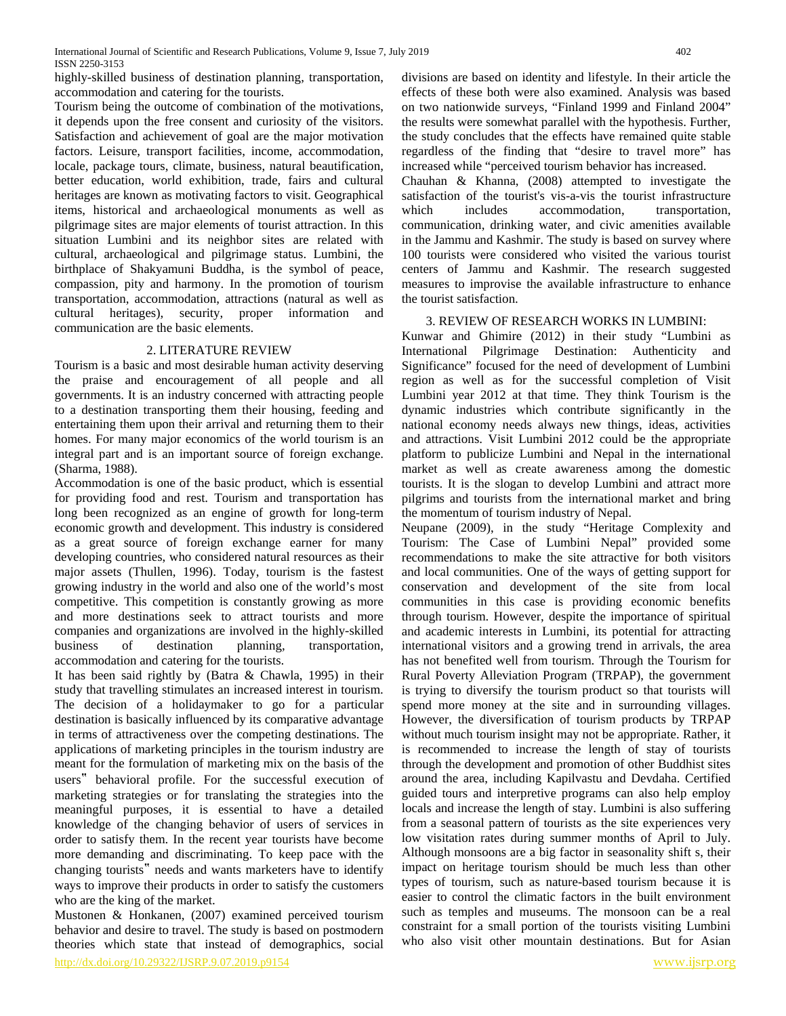highly-skilled business of destination planning, transportation, accommodation and catering for the tourists.

Tourism being the outcome of combination of the motivations, it depends upon the free consent and curiosity of the visitors. Satisfaction and achievement of goal are the major motivation factors. Leisure, transport facilities, income, accommodation, locale, package tours, climate, business, natural beautification, better education, world exhibition, trade, fairs and cultural heritages are known as motivating factors to visit. Geographical items, historical and archaeological monuments as well as pilgrimage sites are major elements of tourist attraction. In this situation Lumbini and its neighbor sites are related with cultural, archaeological and pilgrimage status. Lumbini, the birthplace of Shakyamuni Buddha, is the symbol of peace, compassion, pity and harmony. In the promotion of tourism transportation, accommodation, attractions (natural as well as cultural heritages), security, proper information and communication are the basic elements.

#### 2. LITERATURE REVIEW

Tourism is a basic and most desirable human activity deserving the praise and encouragement of all people and all governments. It is an industry concerned with attracting people to a destination transporting them their housing, feeding and entertaining them upon their arrival and returning them to their homes. For many major economics of the world tourism is an integral part and is an important source of foreign exchange. (Sharma, 1988).

Accommodation is one of the basic product, which is essential for providing food and rest. Tourism and transportation has long been recognized as an engine of growth for long-term economic growth and development. This industry is considered as a great source of foreign exchange earner for many developing countries, who considered natural resources as their major assets (Thullen, 1996). Today, tourism is the fastest growing industry in the world and also one of the world's most competitive. This competition is constantly growing as more and more destinations seek to attract tourists and more companies and organizations are involved in the highly-skilled business of destination planning, transportation, accommodation and catering for the tourists.

It has been said rightly by (Batra & Chawla, 1995) in their study that travelling stimulates an increased interest in tourism. The decision of a holidaymaker to go for a particular destination is basically influenced by its comparative advantage in terms of attractiveness over the competing destinations. The applications of marketing principles in the tourism industry are meant for the formulation of marketing mix on the basis of the users" behavioral profile. For the successful execution of marketing strategies or for translating the strategies into the meaningful purposes, it is essential to have a detailed knowledge of the changing behavior of users of services in order to satisfy them. In the recent year tourists have become more demanding and discriminating. To keep pace with the changing tourists" needs and wants marketers have to identify ways to improve their products in order to satisfy the customers who are the king of the market.

<http://dx.doi.org/10.29322/IJSRP.9.07.2019.p9154> [www.ijsrp.org](http://ijsrp.org/) Mustonen & Honkanen, (2007) examined perceived tourism behavior and desire to travel. The study is based on postmodern theories which state that instead of demographics, social

divisions are based on identity and lifestyle. In their article the effects of these both were also examined. Analysis was based on two nationwide surveys, "Finland 1999 and Finland 2004" the results were somewhat parallel with the hypothesis. Further, the study concludes that the effects have remained quite stable regardless of the finding that "desire to travel more" has increased while "perceived tourism behavior has increased. Chauhan & Khanna, (2008) attempted to investigate the satisfaction of the tourist's vis-a-vis the tourist infrastructure which includes accommodation, transportation, communication, drinking water, and civic amenities available in the Jammu and Kashmir. The study is based on survey where 100 tourists were considered who visited the various tourist centers of Jammu and Kashmir. The research suggested measures to improvise the available infrastructure to enhance the tourist satisfaction.

#### 3. REVIEW OF RESEARCH WORKS IN LUMBINI:

Kunwar and Ghimire (2012) in their study "Lumbini as International Pilgrimage Destination: Authenticity and Significance" focused for the need of development of Lumbini region as well as for the successful completion of Visit Lumbini year 2012 at that time. They think Tourism is the dynamic industries which contribute significantly in the national economy needs always new things, ideas, activities and attractions. Visit Lumbini 2012 could be the appropriate platform to publicize Lumbini and Nepal in the international market as well as create awareness among the domestic tourists. It is the slogan to develop Lumbini and attract more pilgrims and tourists from the international market and bring the momentum of tourism industry of Nepal.

Neupane (2009), in the study "Heritage Complexity and Tourism: The Case of Lumbini Nepal" provided some recommendations to make the site attractive for both visitors and local communities. One of the ways of getting support for conservation and development of the site from local communities in this case is providing economic benefits through tourism. However, despite the importance of spiritual and academic interests in Lumbini, its potential for attracting international visitors and a growing trend in arrivals, the area has not benefited well from tourism. Through the Tourism for Rural Poverty Alleviation Program (TRPAP), the government is trying to diversify the tourism product so that tourists will spend more money at the site and in surrounding villages. However, the diversification of tourism products by TRPAP without much tourism insight may not be appropriate. Rather, it is recommended to increase the length of stay of tourists through the development and promotion of other Buddhist sites around the area, including Kapilvastu and Devdaha. Certified guided tours and interpretive programs can also help employ locals and increase the length of stay. Lumbini is also suffering from a seasonal pattern of tourists as the site experiences very low visitation rates during summer months of April to July. Although monsoons are a big factor in seasonality shift s, their impact on heritage tourism should be much less than other types of tourism, such as nature-based tourism because it is easier to control the climatic factors in the built environment such as temples and museums. The monsoon can be a real constraint for a small portion of the tourists visiting Lumbini who also visit other mountain destinations. But for Asian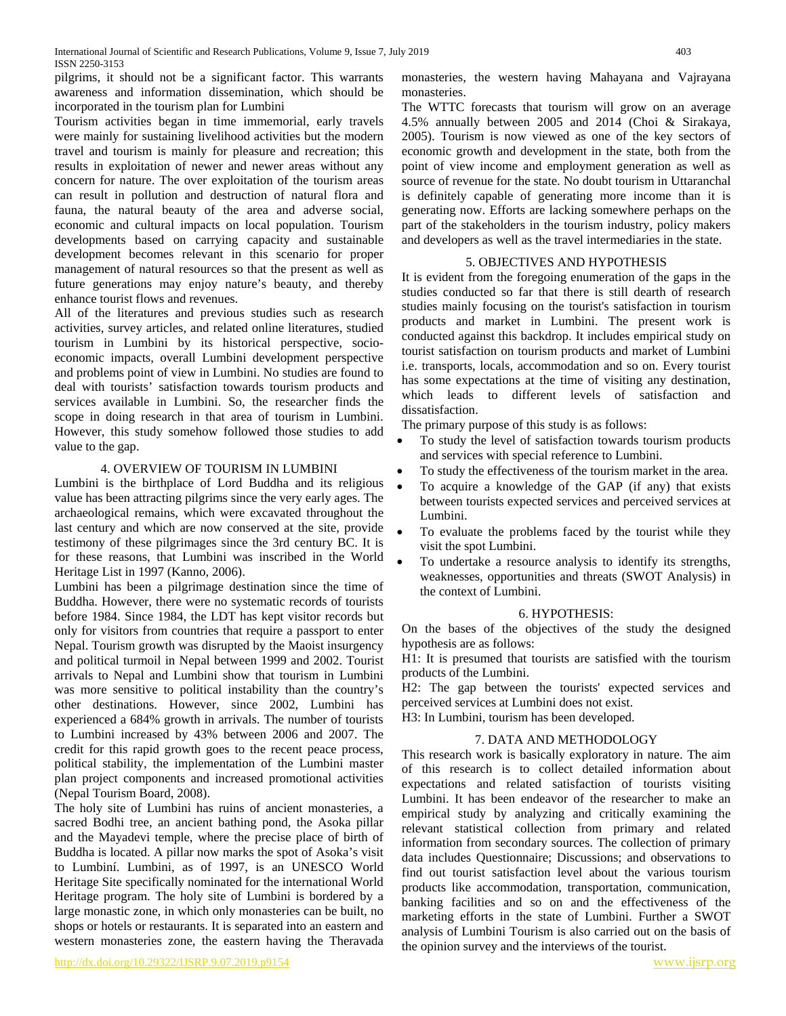pilgrims, it should not be a significant factor. This warrants awareness and information dissemination, which should be incorporated in the tourism plan for Lumbini

Tourism activities began in time immemorial, early travels were mainly for sustaining livelihood activities but the modern travel and tourism is mainly for pleasure and recreation; this results in exploitation of newer and newer areas without any concern for nature. The over exploitation of the tourism areas can result in pollution and destruction of natural flora and fauna, the natural beauty of the area and adverse social, economic and cultural impacts on local population. Tourism developments based on carrying capacity and sustainable development becomes relevant in this scenario for proper management of natural resources so that the present as well as future generations may enjoy nature's beauty, and thereby enhance tourist flows and revenues.

All of the literatures and previous studies such as research activities, survey articles, and related online literatures, studied tourism in Lumbini by its historical perspective, socioeconomic impacts, overall Lumbini development perspective and problems point of view in Lumbini. No studies are found to deal with tourists' satisfaction towards tourism products and services available in Lumbini. So, the researcher finds the scope in doing research in that area of tourism in Lumbini. However, this study somehow followed those studies to add value to the gap.

## 4. OVERVIEW OF TOURISM IN LUMBINI

Lumbini is the birthplace of Lord Buddha and its religious value has been attracting pilgrims since the very early ages. The archaeological remains, which were excavated throughout the last century and which are now conserved at the site, provide testimony of these pilgrimages since the 3rd century BC. It is for these reasons, that Lumbini was inscribed in the World Heritage List in 1997 (Kanno, 2006).

Lumbini has been a pilgrimage destination since the time of Buddha. However, there were no systematic records of tourists before 1984. Since 1984, the LDT has kept visitor records but only for visitors from countries that require a passport to enter Nepal. Tourism growth was disrupted by the Maoist insurgency and political turmoil in Nepal between 1999 and 2002. Tourist arrivals to Nepal and Lumbini show that tourism in Lumbini was more sensitive to political instability than the country's other destinations. However, since 2002, Lumbini has experienced a 684% growth in arrivals. The number of tourists to Lumbini increased by 43% between 2006 and 2007. The credit for this rapid growth goes to the recent peace process, political stability, the implementation of the Lumbini master plan project components and increased promotional activities (Nepal Tourism Board, 2008).

The holy site of Lumbini has ruins of ancient monasteries, a sacred Bodhi tree, an ancient bathing pond, the Asoka pillar and the Mayadevi temple, where the precise place of birth of Buddha is located. A pillar now marks the spot of Asoka's visit to Lumbiní. Lumbini, as of 1997, is an UNESCO World Heritage Site specifically nominated for the international World Heritage program. The holy site of Lumbini is bordered by a large monastic zone, in which only monasteries can be built, no shops or hotels or restaurants. It is separated into an eastern and western monasteries zone, the eastern having the Theravada monasteries, the western having Mahayana and Vajrayana monasteries.

The WTTC forecasts that tourism will grow on an average 4.5% annually between 2005 and 2014 (Choi & Sirakaya, 2005). Tourism is now viewed as one of the key sectors of economic growth and development in the state, both from the point of view income and employment generation as well as source of revenue for the state. No doubt tourism in Uttaranchal is definitely capable of generating more income than it is generating now. Efforts are lacking somewhere perhaps on the part of the stakeholders in the tourism industry, policy makers and developers as well as the travel intermediaries in the state.

## 5. OBJECTIVES AND HYPOTHESIS

It is evident from the foregoing enumeration of the gaps in the studies conducted so far that there is still dearth of research studies mainly focusing on the tourist's satisfaction in tourism products and market in Lumbini. The present work is conducted against this backdrop. It includes empirical study on tourist satisfaction on tourism products and market of Lumbini i.e. transports, locals, accommodation and so on. Every tourist has some expectations at the time of visiting any destination, which leads to different levels of satisfaction and dissatisfaction.

The primary purpose of this study is as follows:

- To study the level of satisfaction towards tourism products and services with special reference to Lumbini.
- To study the effectiveness of the tourism market in the area.
- To acquire a knowledge of the GAP (if any) that exists between tourists expected services and perceived services at Lumbini.
- To evaluate the problems faced by the tourist while they visit the spot Lumbini.
- To undertake a resource analysis to identify its strengths, weaknesses, opportunities and threats (SWOT Analysis) in the context of Lumbini.

#### 6. HYPOTHESIS:

On the bases of the objectives of the study the designed hypothesis are as follows:

H1: It is presumed that tourists are satisfied with the tourism products of the Lumbini.

H2: The gap between the tourists' expected services and perceived services at Lumbini does not exist.

H3: In Lumbini, tourism has been developed.

#### 7. DATA AND METHODOLOGY

This research work is basically exploratory in nature. The aim of this research is to collect detailed information about expectations and related satisfaction of tourists visiting Lumbini. It has been endeavor of the researcher to make an empirical study by analyzing and critically examining the relevant statistical collection from primary and related information from secondary sources. The collection of primary data includes Questionnaire; Discussions; and observations to find out tourist satisfaction level about the various tourism products like accommodation, transportation, communication, banking facilities and so on and the effectiveness of the marketing efforts in the state of Lumbini. Further a SWOT analysis of Lumbini Tourism is also carried out on the basis of the opinion survey and the interviews of the tourist.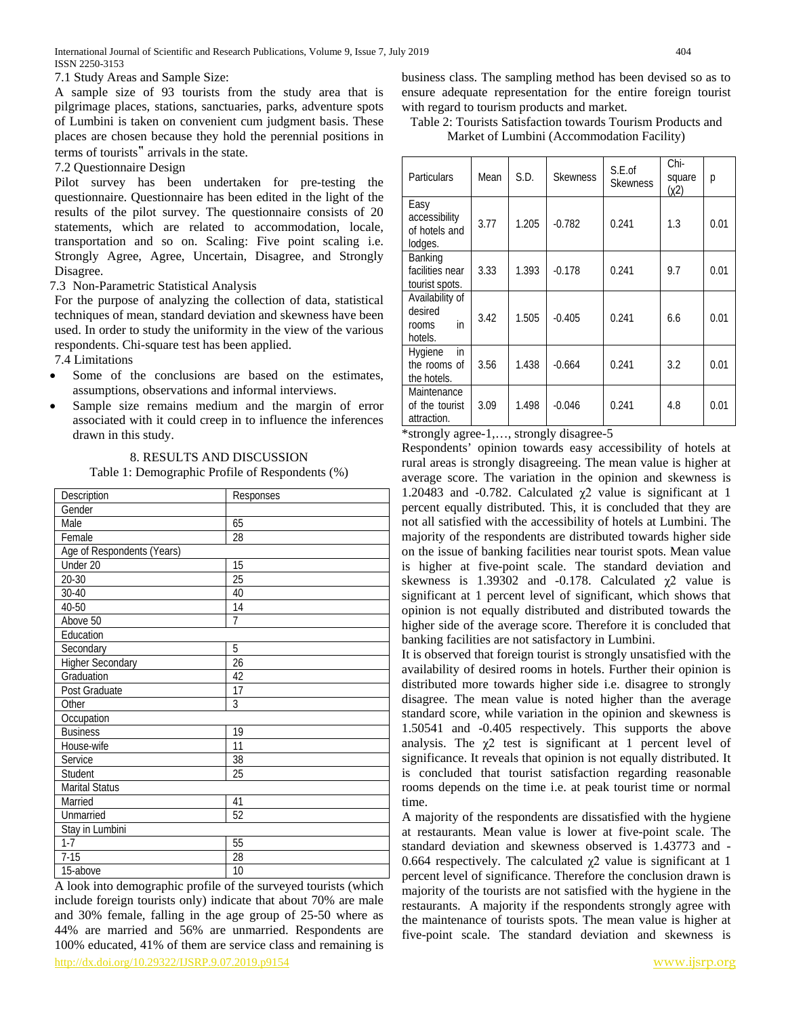7.1 Study Areas and Sample Size:

A sample size of 93 tourists from the study area that is pilgrimage places, stations, sanctuaries, parks, adventure spots of Lumbini is taken on convenient cum judgment basis. These places are chosen because they hold the perennial positions in terms of tourists" arrivals in the state.

#### 7.2 Questionnaire Design

Pilot survey has been undertaken for pre-testing the questionnaire. Questionnaire has been edited in the light of the results of the pilot survey. The questionnaire consists of 20 statements, which are related to accommodation, locale, transportation and so on. Scaling: Five point scaling i.e. Strongly Agree, Agree, Uncertain, Disagree, and Strongly Disagree.

7.3 Non-Parametric Statistical Analysis

For the purpose of analyzing the collection of data, statistical techniques of mean, standard deviation and skewness have been used. In order to study the uniformity in the view of the various respondents. Chi-square test has been applied.

7.4 Limitations

- Some of the conclusions are based on the estimates, assumptions, observations and informal interviews.
- Sample size remains medium and the margin of error associated with it could creep in to influence the inferences drawn in this study.

## 8. RESULTS AND DISCUSSION

Table 1: Demographic Profile of Respondents (%)

| Description                | Responses       |
|----------------------------|-----------------|
| Gender                     |                 |
| Male                       | 65              |
| Female                     | 28              |
| Age of Respondents (Years) |                 |
| Under 20                   | 15              |
| $20 - 30$                  | 25              |
| $30 - 40$                  | 40              |
| $40 - 50$                  | $\overline{14}$ |
| Above 50                   | $\overline{7}$  |
| Education                  |                 |
| Secondary                  | 5               |
| <b>Higher Secondary</b>    | 26              |
| Graduation                 | 42              |
| Post Graduate              | 17              |
| Other                      | 3               |
| Occupation                 |                 |
| <b>Business</b>            | 19              |
| House-wife                 | 11              |
| Service                    | $\overline{38}$ |
| Student                    | 25              |
| <b>Marital Status</b>      |                 |
| Married                    | 41              |
| Unmarried                  | 52              |
| Stay in Lumbini            |                 |
| $1 - 7$                    | 55              |
| $7 - 15$                   | 28              |
| 15-above                   | 10              |

A look into demographic profile of the surveyed tourists (which include foreign tourists only) indicate that about 70% are male and 30% female, falling in the age group of 25-50 where as 44% are married and 56% are unmarried. Respondents are 100% educated, 41% of them are service class and remaining is Table 2: Tourists Satisfaction towards Tourism Products and Market of Lumbini (Accommodation Facility)

| <b>Particulars</b>                                   | Mean | S.D.  | <b>Skewness</b> | $S.E.$ of<br><b>Skewness</b> | Chi-<br>square<br>(x2) | р    |
|------------------------------------------------------|------|-------|-----------------|------------------------------|------------------------|------|
| Easy<br>accessibility<br>of hotels and<br>lodges.    | 3.77 | 1.205 | $-0.782$        | 0.241                        | 1.3                    | 0.01 |
| Banking<br>facilities near<br>tourist spots.         | 3.33 | 1.393 | $-0.178$        | 0.241                        | 9.7                    | 0.01 |
| Availability of<br>desired<br>in<br>rooms<br>hotels. | 3.42 | 1.505 | $-0.405$        | 0.241                        | 6.6                    | 0.01 |
| in<br>Hygiene<br>the rooms of<br>the hotels.         | 3.56 | 1.438 | $-0.664$        | 0.241                        | 3.2                    | 0.01 |
| Maintenance<br>of the tourist<br>attraction.         | 3.09 | 1.498 | $-0.046$        | 0.241                        | 4.8                    | 0.01 |

\*strongly agree-1,…, strongly disagree-5

Respondents' opinion towards easy accessibility of hotels at rural areas is strongly disagreeing. The mean value is higher at average score. The variation in the opinion and skewness is 1.20483 and -0.782. Calculated  $\chi$ 2 value is significant at 1 percent equally distributed. This, it is concluded that they are not all satisfied with the accessibility of hotels at Lumbini. The majority of the respondents are distributed towards higher side on the issue of banking facilities near tourist spots. Mean value is higher at five-point scale. The standard deviation and skewness is 1.39302 and -0.178. Calculated  $\gamma$ 2 value is significant at 1 percent level of significant, which shows that opinion is not equally distributed and distributed towards the higher side of the average score. Therefore it is concluded that banking facilities are not satisfactory in Lumbini.

It is observed that foreign tourist is strongly unsatisfied with the availability of desired rooms in hotels. Further their opinion is distributed more towards higher side i.e. disagree to strongly disagree. The mean value is noted higher than the average standard score, while variation in the opinion and skewness is 1.50541 and -0.405 respectively. This supports the above analysis. The  $\chi$ 2 test is significant at 1 percent level of significance. It reveals that opinion is not equally distributed. It is concluded that tourist satisfaction regarding reasonable rooms depends on the time i.e. at peak tourist time or normal time.

A majority of the respondents are dissatisfied with the hygiene at restaurants. Mean value is lower at five-point scale. The standard deviation and skewness observed is 1.43773 and - 0.664 respectively. The calculated  $\chi$ 2 value is significant at 1 percent level of significance. Therefore the conclusion drawn is majority of the tourists are not satisfied with the hygiene in the restaurants. A majority if the respondents strongly agree with the maintenance of tourists spots. The mean value is higher at five-point scale. The standard deviation and skewness is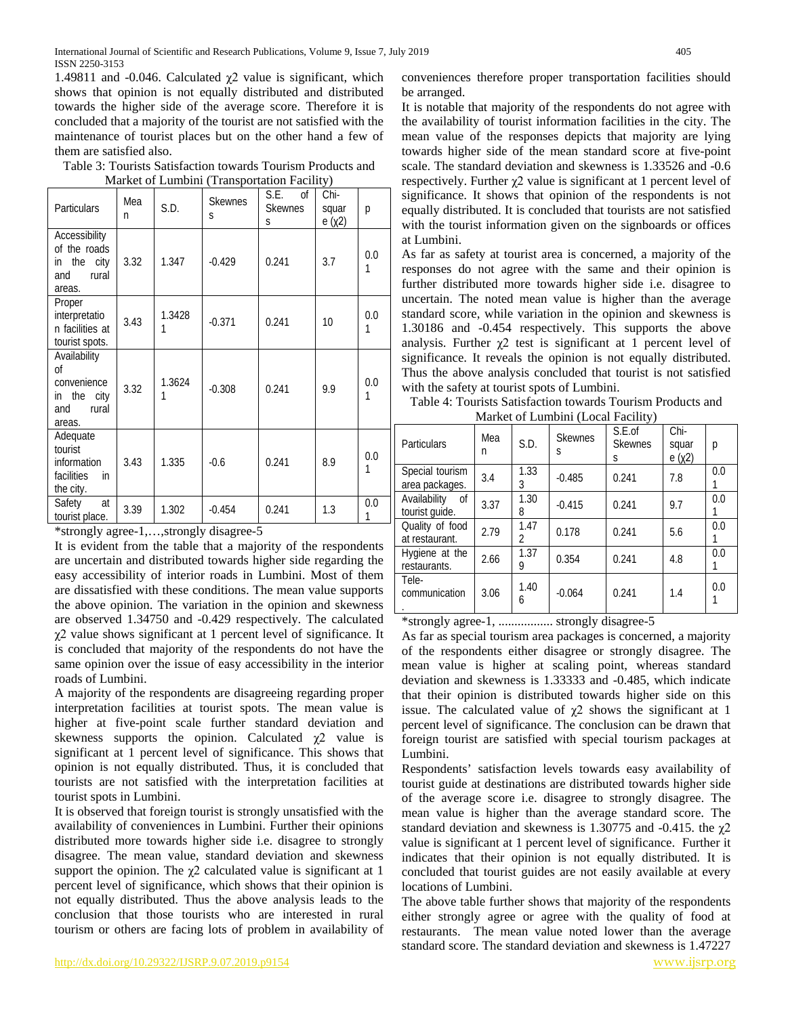1.49811 and -0.046. Calculated  $χ$ 2 value is significant, which shows that opinion is not equally distributed and distributed towards the higher side of the average score. Therefore it is concluded that a majority of the tourist are not satisfied with the maintenance of tourist places but on the other hand a few of them are satisfied also.

| Table 3: Tourists Satisfaction towards Tourism Products and |
|-------------------------------------------------------------|
| Market of Lumbini (Transportation Facility)                 |

|                                                                               |          |             | (2.2922)            |                                   | ر ر.                   |          |
|-------------------------------------------------------------------------------|----------|-------------|---------------------|-----------------------------------|------------------------|----------|
| <b>Particulars</b>                                                            | Mea<br>n | S.D.        | <b>Skewnes</b><br>S | of<br>S.E.<br><b>Skewnes</b><br>S | Chi-<br>squar<br>e(x2) | p        |
| Accessibility<br>of the roads<br>in the city<br>rural<br>and<br>areas.        | 3.32     | 1.347       | $-0.429$            | 0.241                             | 3.7                    | 0.0<br>1 |
| Proper<br>interpretatio<br>n facilities at<br>tourist spots.                  | 3.43     | 1.3428<br>1 | $-0.371$            | 0.241                             | 10                     | 0.0<br>1 |
| Availability<br>0f<br>convenience<br>the city<br>in<br>rural<br>and<br>areas. | 3.32     | 1.3624<br>1 | $-0.308$            | 0.241                             | 9.9                    | 0.0<br>1 |
| Adequate<br>tourist<br>information<br>facilities<br>in<br>the city.           | 3.43     | 1.335       | $-0.6$              | 0.241                             | 8.9                    | 0.0<br>1 |
| at<br>Safety<br>tourist place.                                                | 3.39     | 1.302       | $-0.454$            | 0.241                             | 1.3                    | 0.0<br>1 |

\*strongly agree-1,…,strongly disagree-5

It is evident from the table that a majority of the respondents are uncertain and distributed towards higher side regarding the easy accessibility of interior roads in Lumbini. Most of them are dissatisfied with these conditions. The mean value supports the above opinion. The variation in the opinion and skewness are observed 1.34750 and -0.429 respectively. The calculated χ2 value shows significant at 1 percent level of significance. It is concluded that majority of the respondents do not have the same opinion over the issue of easy accessibility in the interior roads of Lumbini.

A majority of the respondents are disagreeing regarding proper interpretation facilities at tourist spots. The mean value is higher at five-point scale further standard deviation and skewness supports the opinion. Calculated  $\chi^2$  value is significant at 1 percent level of significance. This shows that opinion is not equally distributed. Thus, it is concluded that tourists are not satisfied with the interpretation facilities at tourist spots in Lumbini.

It is observed that foreign tourist is strongly unsatisfied with the availability of conveniences in Lumbini. Further their opinions distributed more towards higher side i.e. disagree to strongly disagree. The mean value, standard deviation and skewness support the opinion. The  $\gamma$ 2 calculated value is significant at 1 percent level of significance, which shows that their opinion is not equally distributed. Thus the above analysis leads to the conclusion that those tourists who are interested in rural tourism or others are facing lots of problem in availability of conveniences therefore proper transportation facilities should be arranged.

It is notable that majority of the respondents do not agree with the availability of tourist information facilities in the city. The mean value of the responses depicts that majority are lying towards higher side of the mean standard score at five-point scale. The standard deviation and skewness is 1.33526 and -0.6 respectively. Further  $χ$ 2 value is significant at 1 percent level of significance. It shows that opinion of the respondents is not equally distributed. It is concluded that tourists are not satisfied with the tourist information given on the signboards or offices at Lumbini.

As far as safety at tourist area is concerned, a majority of the responses do not agree with the same and their opinion is further distributed more towards higher side i.e. disagree to uncertain. The noted mean value is higher than the average standard score, while variation in the opinion and skewness is 1.30186 and -0.454 respectively. This supports the above analysis. Further  $\chi$ 2 test is significant at 1 percent level of significance. It reveals the opinion is not equally distributed. Thus the above analysis concluded that tourist is not satisfied with the safety at tourist spots of Lumbini.

| Table 4: Tourists Satisfaction towards Tourism Products and |
|-------------------------------------------------------------|
| Market of Lumbini (Local Facility)                          |

| Market of Lumblin (Local Facility)   |          |           |                     |                                  |                        |     |
|--------------------------------------|----------|-----------|---------------------|----------------------------------|------------------------|-----|
| Particulars                          | Mea<br>n | S.D.      | <b>Skewnes</b><br>S | $S.E.$ of<br><b>Skewnes</b><br>S | Chi-<br>squar<br>e(x2) | р   |
| Special tourism<br>area packages.    | 3.4      | 1.33<br>3 | $-0.485$            | 0.241                            | 7.8                    | 0.0 |
| Availability<br>0f<br>tourist guide. | 3.37     | 1.30<br>8 | $-0.415$            | 0.241                            | 9.7                    | 0.0 |
| Quality of food<br>at restaurant.    | 2.79     | 1.47<br>2 | 0.178               | 0.241                            | 5.6                    | 0.0 |
| Hygiene at the<br>restaurants.       | 2.66     | 1.37<br>9 | 0.354               | 0.241                            | 4.8                    | 0.0 |
| Tele-<br>communication               | 3.06     | 1.40<br>6 | $-0.064$            | 0.241                            | 1.4                    | 0.0 |

\*strongly agree-1, ................. strongly disagree-5

As far as special tourism area packages is concerned, a majority of the respondents either disagree or strongly disagree. The mean value is higher at scaling point, whereas standard deviation and skewness is 1.33333 and -0.485, which indicate that their opinion is distributed towards higher side on this issue. The calculated value of  $\chi$ 2 shows the significant at 1 percent level of significance. The conclusion can be drawn that foreign tourist are satisfied with special tourism packages at Lumbini.

Respondents' satisfaction levels towards easy availability of tourist guide at destinations are distributed towards higher side of the average score i.e. disagree to strongly disagree. The mean value is higher than the average standard score. The standard deviation and skewness is 1.30775 and -0.415. the  $\chi$ 2 value is significant at 1 percent level of significance. Further it indicates that their opinion is not equally distributed. It is concluded that tourist guides are not easily available at every locations of Lumbini.

The above table further shows that majority of the respondents either strongly agree or agree with the quality of food at restaurants. The mean value noted lower than the average standard score. The standard deviation and skewness is 1.47227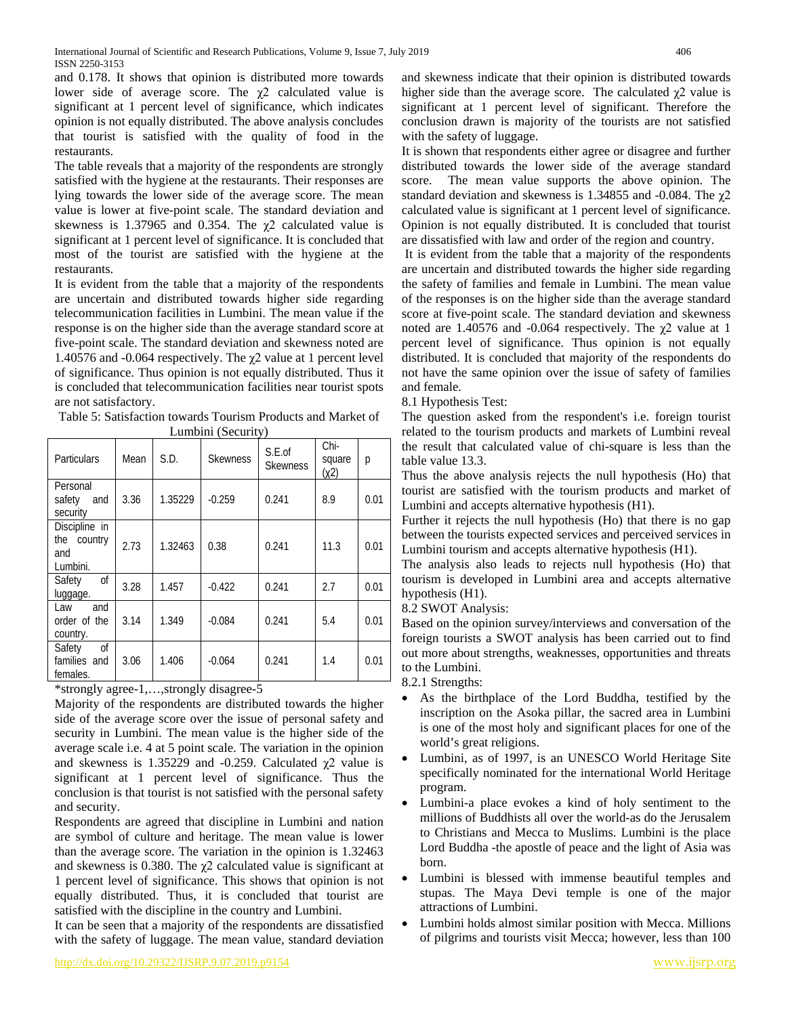and 0.178. It shows that opinion is distributed more towards lower side of average score. The  $\chi$ 2 calculated value is significant at 1 percent level of significance, which indicates opinion is not equally distributed. The above analysis concludes that tourist is satisfied with the quality of food in the restaurants.

The table reveals that a majority of the respondents are strongly satisfied with the hygiene at the restaurants. Their responses are lying towards the lower side of the average score. The mean value is lower at five-point scale. The standard deviation and skewness is 1.37965 and 0.354. The  $\chi$ 2 calculated value is significant at 1 percent level of significance. It is concluded that most of the tourist are satisfied with the hygiene at the restaurants.

It is evident from the table that a majority of the respondents are uncertain and distributed towards higher side regarding telecommunication facilities in Lumbini. The mean value if the response is on the higher side than the average standard score at five-point scale. The standard deviation and skewness noted are 1.40576 and -0.064 respectively. The  $\chi$ 2 value at 1 percent level of significance. Thus opinion is not equally distributed. Thus it is concluded that telecommunication facilities near tourist spots are not satisfactory.

Table 5: Satisfaction towards Tourism Products and Market of Lumbini (Security)

| <b>Particulars</b>                              | Mean | S.D.    | <b>Skewness</b> | $S.E.$ of<br><b>Skewness</b> | Chi-<br>square<br>(x2) | р    |
|-------------------------------------------------|------|---------|-----------------|------------------------------|------------------------|------|
| Personal<br>safety<br>and<br>security           | 3.36 | 1.35229 | $-0.259$        | 0.241                        | 8.9                    | 0.01 |
| Discipline in<br>the country<br>and<br>Lumbini. | 2.73 | 1.32463 | 0.38            | 0.241                        | 11.3                   | 0.01 |
| 0f<br>Safety<br>luggage.                        | 3.28 | 1.457   | $-0.422$        | 0.241                        | 2.7                    | 0.01 |
| and<br>Law<br>order of the<br>country.          | 3.14 | 1.349   | $-0.084$        | 0.241                        | 5.4                    | 0.01 |
| 0f<br>Safety<br>families and<br>females.        | 3.06 | 1.406   | $-0.064$        | 0.241                        | 1.4                    | 0.01 |

\*strongly agree-1,…,strongly disagree-5

Majority of the respondents are distributed towards the higher side of the average score over the issue of personal safety and security in Lumbini. The mean value is the higher side of the average scale i.e. 4 at 5 point scale. The variation in the opinion and skewness is 1.35229 and -0.259. Calculated  $\chi$ 2 value is significant at 1 percent level of significance. Thus the conclusion is that tourist is not satisfied with the personal safety and security.

Respondents are agreed that discipline in Lumbini and nation are symbol of culture and heritage. The mean value is lower than the average score. The variation in the opinion is 1.32463 and skewness is 0.380. The  $\chi$ 2 calculated value is significant at 1 percent level of significance. This shows that opinion is not equally distributed. Thus, it is concluded that tourist are satisfied with the discipline in the country and Lumbini.

It can be seen that a majority of the respondents are dissatisfied with the safety of luggage. The mean value, standard deviation and skewness indicate that their opinion is distributed towards higher side than the average score. The calculated  $\chi$ 2 value is significant at 1 percent level of significant. Therefore the conclusion drawn is majority of the tourists are not satisfied with the safety of luggage.

It is shown that respondents either agree or disagree and further distributed towards the lower side of the average standard score. The mean value supports the above opinion. The standard deviation and skewness is 1.34855 and -0.084. The  $\chi$ 2 calculated value is significant at 1 percent level of significance. Opinion is not equally distributed. It is concluded that tourist are dissatisfied with law and order of the region and country.

It is evident from the table that a majority of the respondents are uncertain and distributed towards the higher side regarding the safety of families and female in Lumbini. The mean value of the responses is on the higher side than the average standard score at five-point scale. The standard deviation and skewness noted are 1.40576 and -0.064 respectively. The  $χ$ 2 value at 1 percent level of significance. Thus opinion is not equally distributed. It is concluded that majority of the respondents do not have the same opinion over the issue of safety of families and female.

## 8.1 Hypothesis Test:

The question asked from the respondent's i.e. foreign tourist related to the tourism products and markets of Lumbini reveal the result that calculated value of chi-square is less than the table value 13.3.

Thus the above analysis rejects the null hypothesis (Ho) that tourist are satisfied with the tourism products and market of Lumbini and accepts alternative hypothesis (H1).

Further it rejects the null hypothesis (Ho) that there is no gap between the tourists expected services and perceived services in Lumbini tourism and accepts alternative hypothesis (H1).

The analysis also leads to rejects null hypothesis (Ho) that tourism is developed in Lumbini area and accepts alternative hypothesis (H1).

8.2 SWOT Analysis:

Based on the opinion survey/interviews and conversation of the foreign tourists a SWOT analysis has been carried out to find out more about strengths, weaknesses, opportunities and threats to the Lumbini.

8.2.1 Strengths:

- As the birthplace of the Lord Buddha, testified by the inscription on the Asoka pillar, the sacred area in Lumbini is one of the most holy and significant places for one of the world's great religions.
- Lumbini, as of 1997, is an UNESCO World Heritage Site specifically nominated for the international World Heritage program.
- Lumbini-a place evokes a kind of holy sentiment to the millions of Buddhists all over the world-as do the Jerusalem to Christians and Mecca to Muslims. Lumbini is the place Lord Buddha -the apostle of peace and the light of Asia was born.
- Lumbini is blessed with immense beautiful temples and stupas. The Maya Devi temple is one of the major attractions of Lumbini.
- Lumbini holds almost similar position with Mecca. Millions of pilgrims and tourists visit Mecca; however, less than 100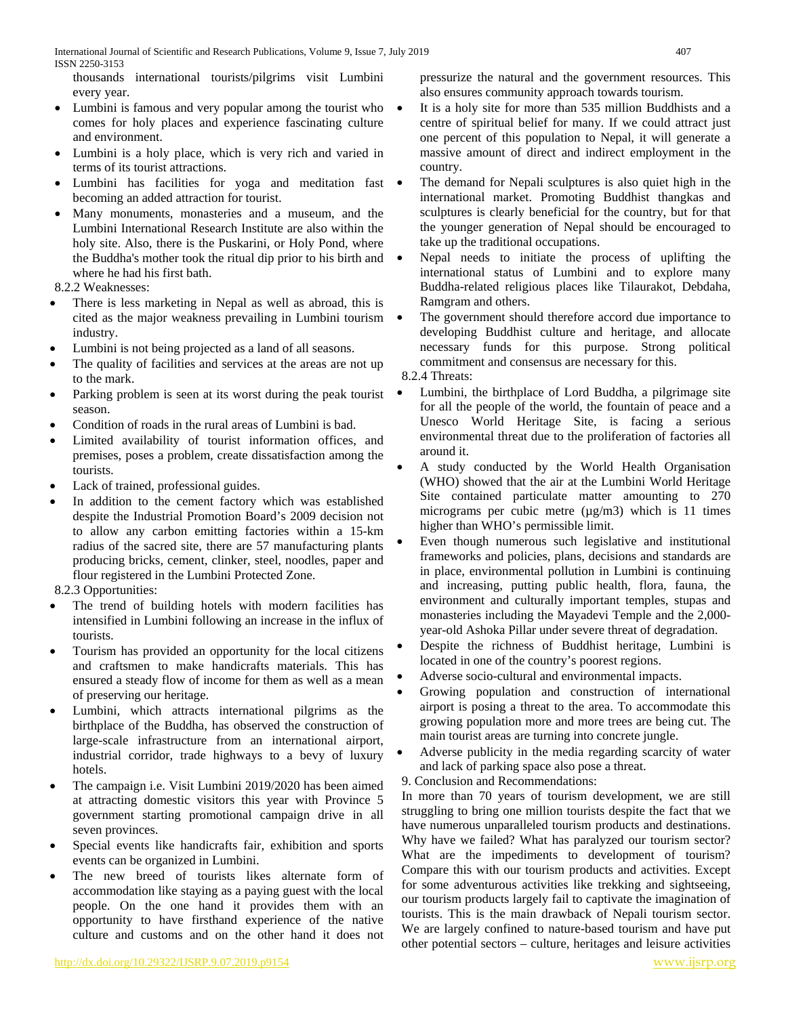thousands international tourists/pilgrims visit Lumbini every year.

- Lumbini is famous and very popular among the tourist who comes for holy places and experience fascinating culture and environment.
- Lumbini is a holy place, which is very rich and varied in terms of its tourist attractions.
- Lumbini has facilities for yoga and meditation fast becoming an added attraction for tourist.
- Many monuments, monasteries and a museum, and the Lumbini International Research Institute are also within the holy site. Also, there is the Puskarini, or Holy Pond, where the Buddha's mother took the ritual dip prior to his birth and where he had his first bath.

8.2.2 Weaknesses:

- There is less marketing in Nepal as well as abroad, this is cited as the major weakness prevailing in Lumbini tourism industry.
- Lumbini is not being projected as a land of all seasons.
- The quality of facilities and services at the areas are not up to the mark.
- Parking problem is seen at its worst during the peak tourist season.
- Condition of roads in the rural areas of Lumbini is bad.
- Limited availability of tourist information offices, and premises, poses a problem, create dissatisfaction among the tourists.
- Lack of trained, professional guides.
- In addition to the cement factory which was established despite the Industrial Promotion Board's 2009 decision not to allow any carbon emitting factories within a 15-km radius of the sacred site, there are 57 manufacturing plants producing bricks, cement, clinker, steel, noodles, paper and flour registered in the Lumbini Protected Zone.

8.2.3 Opportunities:

- The trend of building hotels with modern facilities has intensified in Lumbini following an increase in the influx of tourists.
- Tourism has provided an opportunity for the local citizens and craftsmen to make handicrafts materials. This has ensured a steady flow of income for them as well as a mean of preserving our heritage.
- Lumbini, which attracts international pilgrims as the birthplace of the Buddha, has observed the construction of large-scale infrastructure from an international airport, industrial corridor, trade highways to a bevy of luxury hotels.
- The campaign i.e. Visit Lumbini 2019/2020 has been aimed at attracting domestic visitors this year with Province 5 government starting promotional campaign drive in all seven provinces.
- Special events like handicrafts fair, exhibition and sports events can be organized in Lumbini.
- The new breed of tourists likes alternate form of accommodation like staying as a paying guest with the local people. On the one hand it provides them with an opportunity to have firsthand experience of the native culture and customs and on the other hand it does not

pressurize the natural and the government resources. This also ensures community approach towards tourism.

- It is a holy site for more than 535 million Buddhists and a centre of spiritual belief for many. If we could attract just one percent of this population to Nepal, it will generate a massive amount of direct and indirect employment in the country.
- The demand for Nepali sculptures is also quiet high in the international market. Promoting Buddhist thangkas and sculptures is clearly beneficial for the country, but for that the younger generation of Nepal should be encouraged to take up the traditional occupations.
- Nepal needs to initiate the process of uplifting the international status of Lumbini and to explore many Buddha-related religious places like Tilaurakot, Debdaha, Ramgram and others.
- The government should therefore accord due importance to developing Buddhist culture and heritage, and allocate necessary funds for this purpose. Strong political commitment and consensus are necessary for this.
- 8.2.4 Threats:
- Lumbini, the birthplace of Lord Buddha, a pilgrimage site for all the people of the world, the fountain of peace and a Unesco World Heritage Site, is facing a serious environmental threat due to the proliferation of factories all around it.
- A study conducted by the World Health Organisation (WHO) showed that the air at the Lumbini World Heritage Site contained particulate matter amounting to 270 micrograms per cubic metre  $(\mu g/m3)$  which is 11 times higher than WHO's permissible limit.
- Even though numerous such legislative and institutional frameworks and policies, plans, decisions and standards are in place, environmental pollution in Lumbini is continuing and increasing, putting public health, flora, fauna, the environment and culturally important temples, stupas and monasteries including the Mayadevi Temple and the 2,000 year-old Ashoka Pillar under severe threat of degradation.
- Despite the richness of Buddhist heritage, Lumbini is located in one of the country's poorest regions.
- Adverse socio-cultural and environmental impacts.
- Growing population and construction of international airport is posing a threat to the area. To accommodate this growing population more and more trees are being cut. The main tourist areas are turning into concrete jungle.
- Adverse publicity in the media regarding scarcity of water and lack of parking space also pose a threat.
- 9. Conclusion and Recommendations:

In more than 70 years of tourism development, we are still struggling to bring one million tourists despite the fact that we have numerous unparalleled tourism products and destinations. Why have we failed? What has paralyzed our tourism sector? What are the impediments to development of tourism? Compare this with our tourism products and activities. Except for some adventurous activities like trekking and sightseeing, our tourism products largely fail to captivate the imagination of tourists. This is the main drawback of Nepali tourism sector. We are largely confined to nature-based tourism and have put other potential sectors – culture, heritages and leisure activities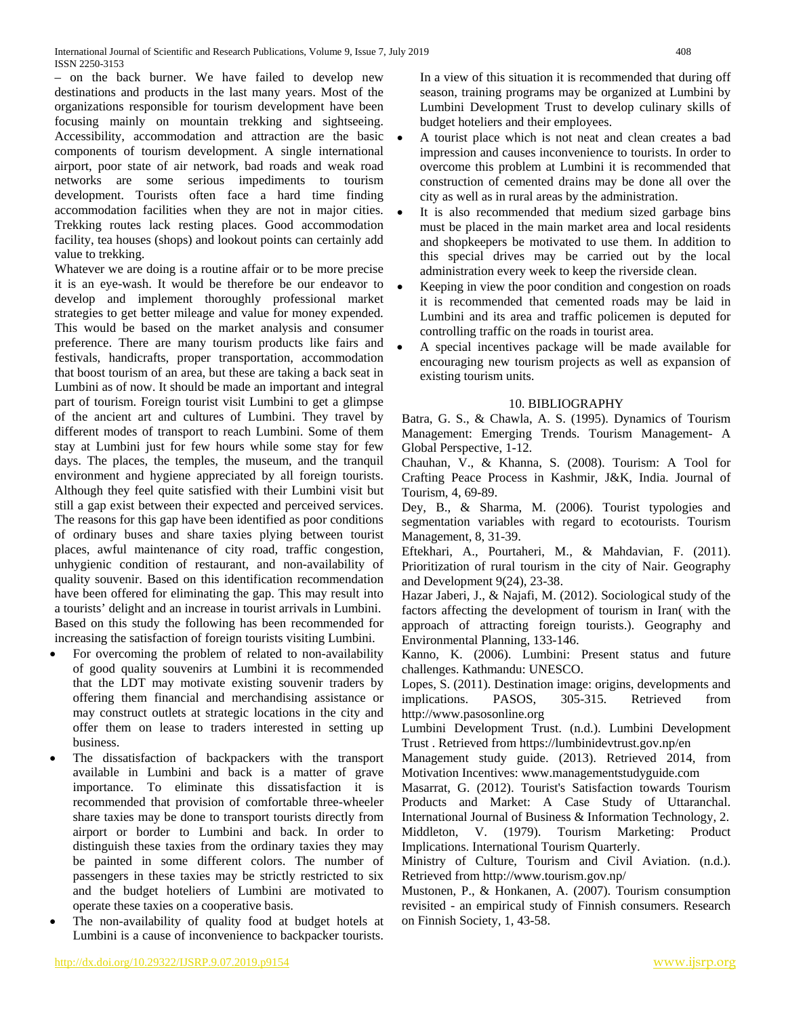– on the back burner. We have failed to develop new destinations and products in the last many years. Most of the organizations responsible for tourism development have been focusing mainly on mountain trekking and sightseeing. Accessibility, accommodation and attraction are the basic components of tourism development. A single international airport, poor state of air network, bad roads and weak road networks are some serious impediments to tourism development. Tourists often face a hard time finding accommodation facilities when they are not in major cities. Trekking routes lack resting places. Good accommodation facility, tea houses (shops) and lookout points can certainly add value to trekking.

Whatever we are doing is a routine affair or to be more precise it is an eye-wash. It would be therefore be our endeavor to develop and implement thoroughly professional market strategies to get better mileage and value for money expended. This would be based on the market analysis and consumer preference. There are many tourism products like fairs and festivals, handicrafts, proper transportation, accommodation that boost tourism of an area, but these are taking a back seat in Lumbini as of now. It should be made an important and integral part of tourism. Foreign tourist visit Lumbini to get a glimpse of the ancient art and cultures of Lumbini. They travel by different modes of transport to reach Lumbini. Some of them stay at Lumbini just for few hours while some stay for few days. The places, the temples, the museum, and the tranquil environment and hygiene appreciated by all foreign tourists. Although they feel quite satisfied with their Lumbini visit but still a gap exist between their expected and perceived services. The reasons for this gap have been identified as poor conditions of ordinary buses and share taxies plying between tourist places, awful maintenance of city road, traffic congestion, unhygienic condition of restaurant, and non-availability of quality souvenir. Based on this identification recommendation have been offered for eliminating the gap. This may result into a tourists' delight and an increase in tourist arrivals in Lumbini. Based on this study the following has been recommended for increasing the satisfaction of foreign tourists visiting Lumbini.

- For overcoming the problem of related to non-availability of good quality souvenirs at Lumbini it is recommended that the LDT may motivate existing souvenir traders by offering them financial and merchandising assistance or may construct outlets at strategic locations in the city and offer them on lease to traders interested in setting up business.
- The dissatisfaction of backpackers with the transport available in Lumbini and back is a matter of grave importance. To eliminate this dissatisfaction it is recommended that provision of comfortable three-wheeler share taxies may be done to transport tourists directly from airport or border to Lumbini and back. In order to distinguish these taxies from the ordinary taxies they may be painted in some different colors. The number of passengers in these taxies may be strictly restricted to six and the budget hoteliers of Lumbini are motivated to operate these taxies on a cooperative basis.
- The non-availability of quality food at budget hotels at Lumbini is a cause of inconvenience to backpacker tourists.

In a view of this situation it is recommended that during off season, training programs may be organized at Lumbini by Lumbini Development Trust to develop culinary skills of budget hoteliers and their employees.

- A tourist place which is not neat and clean creates a bad impression and causes inconvenience to tourists. In order to overcome this problem at Lumbini it is recommended that construction of cemented drains may be done all over the city as well as in rural areas by the administration.
- It is also recommended that medium sized garbage bins must be placed in the main market area and local residents and shopkeepers be motivated to use them. In addition to this special drives may be carried out by the local administration every week to keep the riverside clean.
- Keeping in view the poor condition and congestion on roads it is recommended that cemented roads may be laid in Lumbini and its area and traffic policemen is deputed for controlling traffic on the roads in tourist area.
- A special incentives package will be made available for encouraging new tourism projects as well as expansion of existing tourism units.

## 10. BIBLIOGRAPHY

Batra, G. S., & Chawla, A. S. (1995). Dynamics of Tourism Management: Emerging Trends. Tourism Management- A Global Perspective, 1-12.

Chauhan, V., & Khanna, S. (2008). Tourism: A Tool for Crafting Peace Process in Kashmir, J&K, India. Journal of Tourism, 4, 69-89.

Dey, B., & Sharma, M. (2006). Tourist typologies and segmentation variables with regard to ecotourists. Tourism Management, 8, 31-39.

Eftekhari, A., Pourtaheri, M., & Mahdavian, F. (2011). Prioritization of rural tourism in the city of Nair. Geography and Development 9(24), 23-38.

Hazar Jaberi, J., & Najafi, M. (2012). Sociological study of the factors affecting the development of tourism in Iran( with the approach of attracting foreign tourists.). Geography and Environmental Planning, 133-146.

Kanno, K. (2006). Lumbini: Present status and future challenges. Kathmandu: UNESCO.

Lopes, S. (2011). Destination image: origins, developments and implications. PASOS, 305-315. Retrieved from http://www.pasosonline.org

Lumbini Development Trust. (n.d.). Lumbini Development Trust . Retrieved from https://lumbinidevtrust.gov.np/en

Management study guide. (2013). Retrieved 2014, from Motivation Incentives: www.managementstudyguide.com

Masarrat, G. (2012). Tourist's Satisfaction towards Tourism Products and Market: A Case Study of Uttaranchal. International Journal of Business & Information Technology, 2. Middleton, V. (1979). Tourism Marketing: Product Implications. International Tourism Quarterly.

Ministry of Culture, Tourism and Civil Aviation. (n.d.). Retrieved from http://www.tourism.gov.np/

Mustonen, P., & Honkanen, A. (2007). Tourism consumption revisited - an empirical study of Finnish consumers. Research on Finnish Society, 1, 43-58.